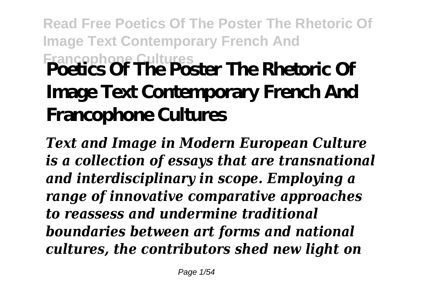# **Read Free Poetics Of The Poster The Rhetoric Of Image Text Contemporary French And Francophone Cultures Poetics Of The Poster The Rhetoric Of Image Text Contemporary French And Francophone Cultures**

*Text and Image in Modern European Culture is a collection of essays that are transnational and interdisciplinary in scope. Employing a range of innovative comparative approaches to reassess and undermine traditional boundaries between art forms and national cultures, the contributors shed new light on*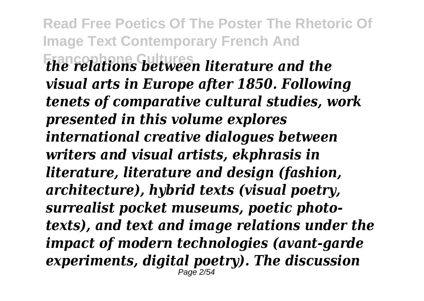**Read Free Poetics Of The Poster The Rhetoric Of Image Text Contemporary French And Francophone Cultures** *the relations between literature and the visual arts in Europe after 1850. Following tenets of comparative cultural studies, work presented in this volume explores international creative dialogues between writers and visual artists, ekphrasis in literature, literature and design (fashion, architecture), hybrid texts (visual poetry, surrealist pocket museums, poetic phototexts), and text and image relations under the impact of modern technologies (avant-garde experiments, digital poetry). The discussion* Page 2/54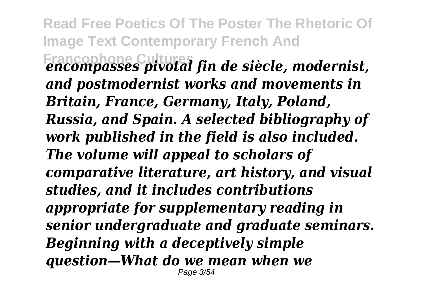**Read Free Poetics Of The Poster The Rhetoric Of Image Text Contemporary French And Francophone Cultures** *encompasses pivotal fin de siècle, modernist, and postmodernist works and movements in Britain, France, Germany, Italy, Poland, Russia, and Spain. A selected bibliography of work published in the field is also included. The volume will appeal to scholars of comparative literature, art history, and visual studies, and it includes contributions appropriate for supplementary reading in senior undergraduate and graduate seminars. Beginning with a deceptively simple question—What do we mean when we* Page 3/54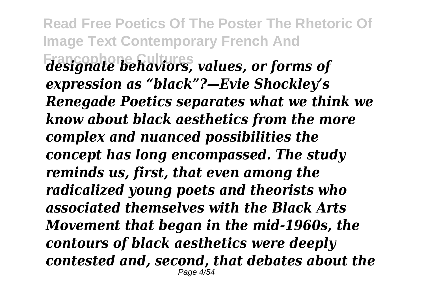**Read Free Poetics Of The Poster The Rhetoric Of Image Text Contemporary French And Francophone Cultures** *designate behaviors, values, or forms of expression as "black"?—Evie Shockley's Renegade Poetics separates what we think we know about black aesthetics from the more complex and nuanced possibilities the concept has long encompassed. The study reminds us, first, that even among the radicalized young poets and theorists who associated themselves with the Black Arts Movement that began in the mid-1960s, the contours of black aesthetics were deeply contested and, second, that debates about the* Page 4/54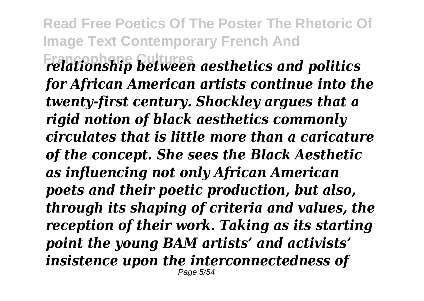**Read Free Poetics Of The Poster The Rhetoric Of Image Text Contemporary French And Francophone Cultures** *relationship between aesthetics and politics for African American artists continue into the twenty-first century. Shockley argues that a rigid notion of black aesthetics commonly circulates that is little more than a caricature of the concept. She sees the Black Aesthetic as influencing not only African American poets and their poetic production, but also, through its shaping of criteria and values, the reception of their work. Taking as its starting point the young BAM artists' and activists' insistence upon the interconnectedness of* Page 5/54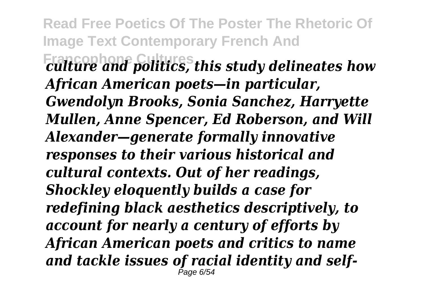**Read Free Poetics Of The Poster The Rhetoric Of Image Text Contemporary French And Francophone Cultures** *culture and politics, this study delineates how African American poets—in particular, Gwendolyn Brooks, Sonia Sanchez, Harryette Mullen, Anne Spencer, Ed Roberson, and Will Alexander—generate formally innovative responses to their various historical and cultural contexts. Out of her readings, Shockley eloquently builds a case for redefining black aesthetics descriptively, to account for nearly a century of efforts by African American poets and critics to name and tackle issues of racial identity and self-*Page 6/54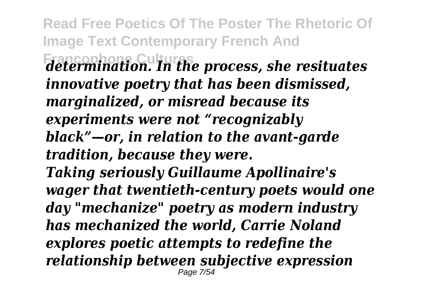**Francophone Cultures** *determination. In the process, she resituates innovative poetry that has been dismissed, marginalized, or misread because its experiments were not "recognizably black"—or, in relation to the avant-garde tradition, because they were.*

*Taking seriously Guillaume Apollinaire's wager that twentieth-century poets would one day "mechanize" poetry as modern industry has mechanized the world, Carrie Noland explores poetic attempts to redefine the relationship between subjective expression* Page 7/54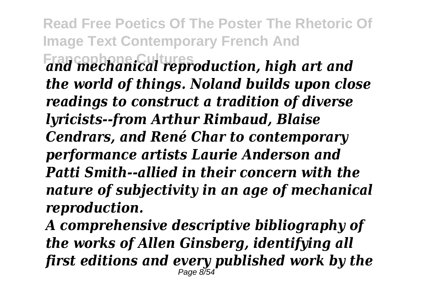**Read Free Poetics Of The Poster The Rhetoric Of Image Text Contemporary French And Francophone Cultures** *and mechanical reproduction, high art and the world of things. Noland builds upon close readings to construct a tradition of diverse lyricists--from Arthur Rimbaud, Blaise Cendrars, and René Char to contemporary performance artists Laurie Anderson and Patti Smith--allied in their concern with the nature of subjectivity in an age of mechanical reproduction.*

*A comprehensive descriptive bibliography of the works of Allen Ginsberg, identifying all first editions and every published work by the* Page 8/54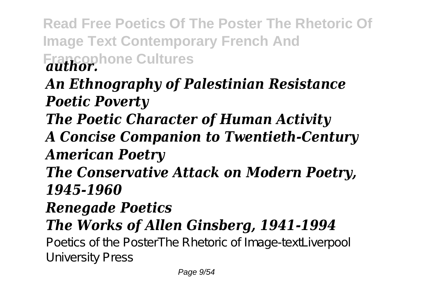**Read Free Poetics Of The Poster The Rhetoric Of Image Text Contemporary French And Francophone Cultures** *author. An Ethnography of Palestinian Resistance Poetic Poverty The Poetic Character of Human Activity A Concise Companion to Twentieth-Century American Poetry The Conservative Attack on Modern Poetry, 1945-1960 Renegade Poetics The Works of Allen Ginsberg, 1941-1994* Poetics of the PosterThe Rhetoric of Image-textLiverpool University Press Page 9/54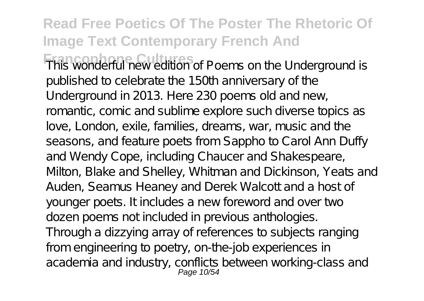**This wonderful new edition of Poems on the Underground is** published to celebrate the 150th anniversary of the Underground in 2013. Here 230 poems old and new, romantic, comic and sublime explore such diverse topics as love, London, exile, families, dreams, war, music and the seasons, and feature poets from Sappho to Carol Ann Duffy and Wendy Cope, including Chaucer and Shakespeare, Milton, Blake and Shelley, Whitman and Dickinson, Yeats and Auden, Seamus Heaney and Derek Walcott and a host of younger poets. It includes a new foreword and over two dozen poems not included in previous anthologies. Through a dizzying array of references to subjects ranging from engineering to poetry, on-the-job experiences in academia and industry, conflicts between working-class and Page 10/54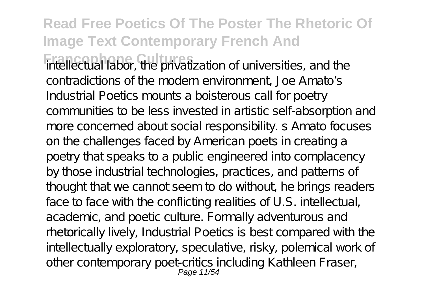**Francophone Cultures** intellectual labor, the privatization of universities, and the contradictions of the modern environment, Joe Amato's Industrial Poetics mounts a boisterous call for poetry communities to be less invested in artistic self-absorption and more concerned about social responsibility. s Amato focuses on the challenges faced by American poets in creating a poetry that speaks to a public engineered into complacency by those industrial technologies, practices, and patterns of thought that we cannot seem to do without, he brings readers face to face with the conflicting realities of U.S. intellectual, academic, and poetic culture. Formally adventurous and rhetorically lively, Industrial Poetics is best compared with the intellectually exploratory, speculative, risky, polemical work of other contemporary poet-critics including Kathleen Fraser, Page 11/54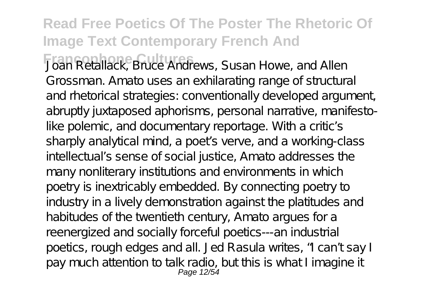**Francophone Cultures** Joan Retallack, Bruce Andrews, Susan Howe, and Allen Grossman. Amato uses an exhilarating range of structural and rhetorical strategies: conventionally developed argument, abruptly juxtaposed aphorisms, personal narrative, manifestolike polemic, and documentary reportage. With a critic's sharply analytical mind, a poet s verve, and a working-class intellectual's sense of social justice, Amato addresses the many nonliterary institutions and environments in which poetry is inextricably embedded. By connecting poetry to industry in a lively demonstration against the platitudes and habitudes of the twentieth century, Amato argues for a reenergized and socially forceful poetics---an industrial poetics, rough edges and all. Jed Rasula writes, "I can't say I pay much attention to talk radio, but this is what I imagine it Page 12/54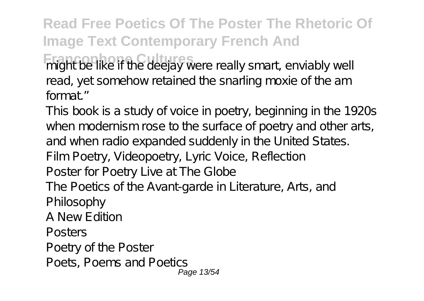**Francophone Cultures** might be like if the deejay were really smart, enviably well read, yet somehow retained the snarling moxie of the am format."

This book is a study of voice in poetry, beginning in the 1920s when modernism rose to the surface of poetry and other arts, and when radio expanded suddenly in the United States. Film Poetry, Videopoetry, Lyric Voice, Reflection Poster for Poetry Live at The Globe The Poetics of the Avant-garde in Literature, Arts, and Philosophy A New Edition Posters Poetry of the Poster Poets, Poems and Poetics Page 13/54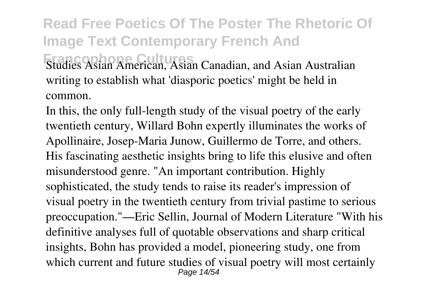**Read Free Poetics Of The Poster The Rhetoric Of Image Text Contemporary French And Francis Asian American, Asian Canadian, and Asian Australian** writing to establish what 'diasporic poetics' might be held in common.

In this, the only full-length study of the visual poetry of the early twentieth century, Willard Bohn expertly illuminates the works of Apollinaire, Josep-Maria Junow, Guillermo de Torre, and others. His fascinating aesthetic insights bring to life this elusive and often misunderstood genre. "An important contribution. Highly sophisticated, the study tends to raise its reader's impression of visual poetry in the twentieth century from trivial pastime to serious preoccupation."—Eric Sellin, Journal of Modern Literature "With his definitive analyses full of quotable observations and sharp critical insights, Bohn has provided a model, pioneering study, one from which current and future studies of visual poetry will most certainly Page 14/54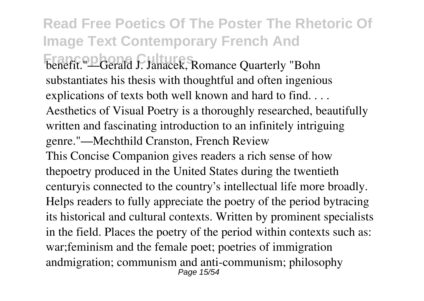#### **Read Free Poetics Of The Poster The Rhetoric Of Image Text Contemporary French And Francophone Cerald J. Janacek, Romance Quarterly "Bohn** substantiates his thesis with thoughtful and often ingenious explications of texts both well known and hard to find. . . . Aesthetics of Visual Poetry is a thoroughly researched, beautifully written and fascinating introduction to an infinitely intriguing genre."—Mechthild Cranston, French Review This Concise Companion gives readers a rich sense of how thepoetry produced in the United States during the twentieth centuryis connected to the country's intellectual life more broadly. Helps readers to fully appreciate the poetry of the period bytracing its historical and cultural contexts. Written by prominent specialists in the field. Places the poetry of the period within contexts such as: war;feminism and the female poet; poetries of immigration andmigration; communism and anti-communism; philosophy Page 15/54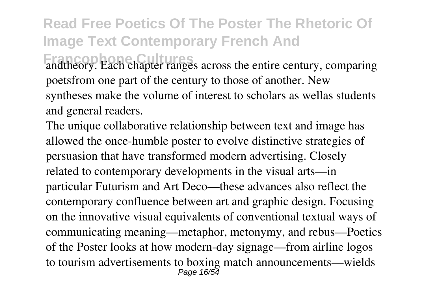andtheory. Each chapter ranges across the entire century, comparing poetsfrom one part of the century to those of another. New syntheses make the volume of interest to scholars as wellas students and general readers.

The unique collaborative relationship between text and image has allowed the once-humble poster to evolve distinctive strategies of persuasion that have transformed modern advertising. Closely related to contemporary developments in the visual arts—in particular Futurism and Art Deco—these advances also reflect the contemporary confluence between art and graphic design. Focusing on the innovative visual equivalents of conventional textual ways of communicating meaning—metaphor, metonymy, and rebus—Poetics of the Poster looks at how modern-day signage—from airline logos to tourism advertisements to boxing match announcements—wields Page 16/54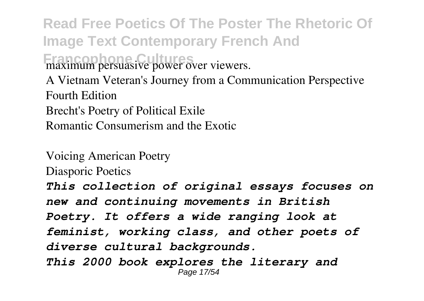**Read Free Poetics Of The Poster The Rhetoric Of Image Text Contemporary French And Francophone Cultures** maximum persuasive power over viewers. A Vietnam Veteran's Journey from a Communication Perspective Fourth Edition Brecht's Poetry of Political Exile Romantic Consumerism and the Exotic

Voicing American Poetry Diasporic Poetics *This collection of original essays focuses on new and continuing movements in British Poetry. It offers a wide ranging look at feminist, working class, and other poets of diverse cultural backgrounds. This 2000 book explores the literary and* Page 17/54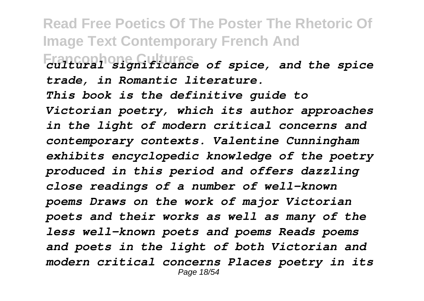**Read Free Poetics Of The Poster The Rhetoric Of Image Text Contemporary French And Francophone Cultures** *cultural significance of spice, and the spice trade, in Romantic literature. This book is the definitive guide to Victorian poetry, which its author approaches in the light of modern critical concerns and contemporary contexts. Valentine Cunningham exhibits encyclopedic knowledge of the poetry produced in this period and offers dazzling close readings of a number of well-known poems Draws on the work of major Victorian poets and their works as well as many of the less well-known poets and poems Reads poems and poets in the light of both Victorian and modern critical concerns Places poetry in its* Page 18/54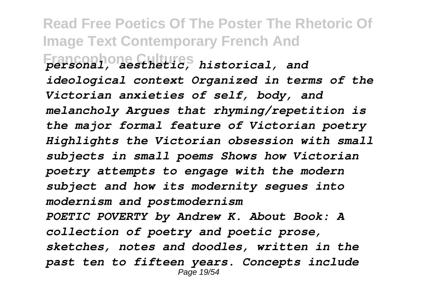**Read Free Poetics Of The Poster The Rhetoric Of Image Text Contemporary French And Francophone Cultures** *personal, aesthetic, historical, and ideological context Organized in terms of the Victorian anxieties of self, body, and melancholy Argues that rhyming/repetition is the major formal feature of Victorian poetry Highlights the Victorian obsession with small subjects in small poems Shows how Victorian poetry attempts to engage with the modern subject and how its modernity segues into modernism and postmodernism POETIC POVERTY by Andrew K. About Book: A collection of poetry and poetic prose, sketches, notes and doodles, written in the past ten to fifteen years. Concepts include* Page 19/54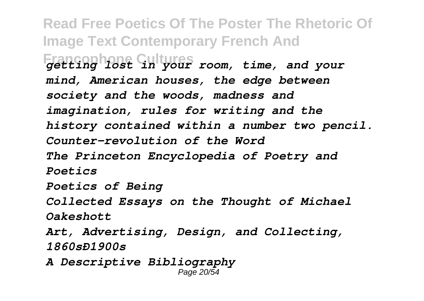**Read Free Poetics Of The Poster The Rhetoric Of Image Text Contemporary French And Francophone Cultures** *getting lost in your room, time, and your mind, American houses, the edge between society and the woods, madness and imagination, rules for writing and the history contained within a number two pencil. Counter-revolution of the Word The Princeton Encyclopedia of Poetry and Poetics Poetics of Being Collected Essays on the Thought of Michael Oakeshott Art, Advertising, Design, and Collecting, 1860sÐ1900s A Descriptive Bibliography* Page 20/54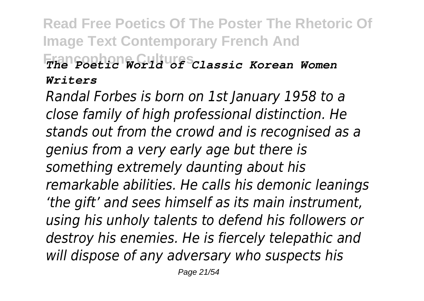#### **Read Free Poetics Of The Poster The Rhetoric Of Image Text Contemporary French And Francophone Cultures** *The Poetic World of Classic Korean Women Writers*

*Randal Forbes is born on 1st January 1958 to a close family of high professional distinction. He stands out from the crowd and is recognised as a genius from a very early age but there is something extremely daunting about his remarkable abilities. He calls his demonic leanings 'the gift' and sees himself as its main instrument, using his unholy talents to defend his followers or destroy his enemies. He is fiercely telepathic and will dispose of any adversary who suspects his*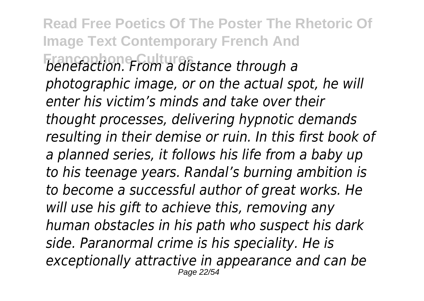**Read Free Poetics Of The Poster The Rhetoric Of Image Text Contemporary French And Francophone Cultures** *benefaction. From a distance through a photographic image, or on the actual spot, he will enter his victim's minds and take over their thought processes, delivering hypnotic demands resulting in their demise or ruin. In this first book of a planned series, it follows his life from a baby up to his teenage years. Randal's burning ambition is to become a successful author of great works. He will use his gift to achieve this, removing any human obstacles in his path who suspect his dark side. Paranormal crime is his speciality. He is exceptionally attractive in appearance and can be* Page 22/54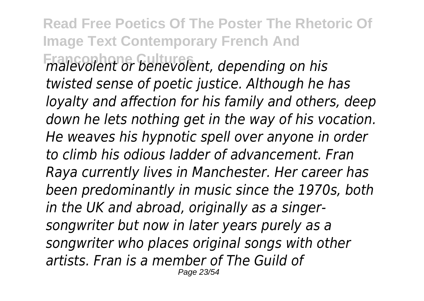**Read Free Poetics Of The Poster The Rhetoric Of Image Text Contemporary French And Francophone Cultures** *malevolent or benevolent, depending on his twisted sense of poetic justice. Although he has loyalty and affection for his family and others, deep down he lets nothing get in the way of his vocation. He weaves his hypnotic spell over anyone in order to climb his odious ladder of advancement. Fran Raya currently lives in Manchester. Her career has been predominantly in music since the 1970s, both in the UK and abroad, originally as a singersongwriter but now in later years purely as a songwriter who places original songs with other artists. Fran is a member of The Guild of* Page 23/54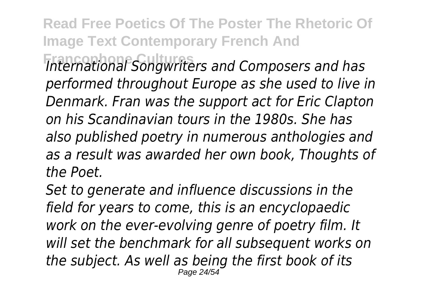**Francophone Cultures** *International Songwriters and Composers and has performed throughout Europe as she used to live in Denmark. Fran was the support act for Eric Clapton on his Scandinavian tours in the 1980s. She has also published poetry in numerous anthologies and as a result was awarded her own book, Thoughts of the Poet.*

*Set to generate and influence discussions in the field for years to come, this is an encyclopaedic work on the ever-evolving genre of poetry film. It will set the benchmark for all subsequent works on the subject. As well as being the first book of its* Page 24/54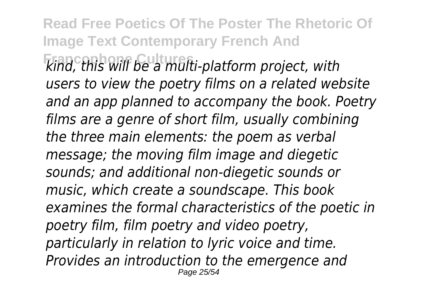**Read Free Poetics Of The Poster The Rhetoric Of Image Text Contemporary French And Francophone Cultures** *kind, this will be a multi-platform project, with users to view the poetry films on a related website and an app planned to accompany the book. Poetry films are a genre of short film, usually combining the three main elements: the poem as verbal message; the moving film image and diegetic sounds; and additional non-diegetic sounds or music, which create a soundscape. This book examines the formal characteristics of the poetic in poetry film, film poetry and video poetry, particularly in relation to lyric voice and time. Provides an introduction to the emergence and* Page 25/54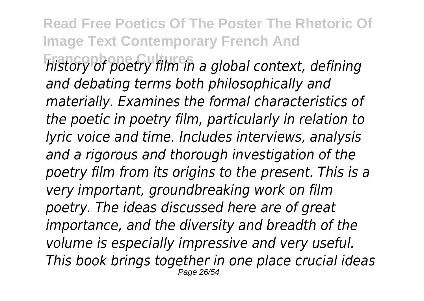**Read Free Poetics Of The Poster The Rhetoric Of Image Text Contemporary French And Francophone Cultures** *history of poetry film in a global context, defining and debating terms both philosophically and materially. Examines the formal characteristics of the poetic in poetry film, particularly in relation to lyric voice and time. Includes interviews, analysis and a rigorous and thorough investigation of the poetry film from its origins to the present. This is a very important, groundbreaking work on film poetry. The ideas discussed here are of great importance, and the diversity and breadth of the volume is especially impressive and very useful. This book brings together in one place crucial ideas* Page 26/54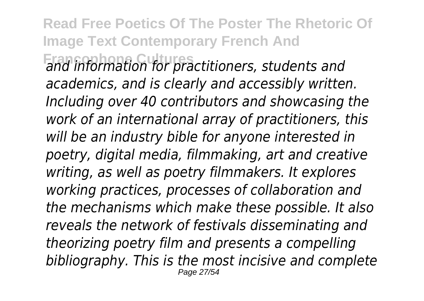**Read Free Poetics Of The Poster The Rhetoric Of Image Text Contemporary French And Francophone Cultures** *and information for practitioners, students and academics, and is clearly and accessibly written. Including over 40 contributors and showcasing the work of an international array of practitioners, this will be an industry bible for anyone interested in poetry, digital media, filmmaking, art and creative writing, as well as poetry filmmakers. It explores working practices, processes of collaboration and the mechanisms which make these possible. It also reveals the network of festivals disseminating and theorizing poetry film and presents a compelling bibliography. This is the most incisive and complete* Page 27/54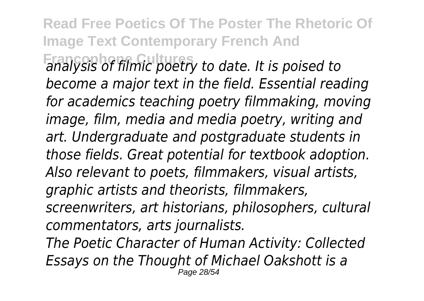**Read Free Poetics Of The Poster The Rhetoric Of Image Text Contemporary French And Francophone Cultures** *analysis of filmic poetry to date. It is poised to become a major text in the field. Essential reading for academics teaching poetry filmmaking, moving image, film, media and media poetry, writing and art. Undergraduate and postgraduate students in those fields. Great potential for textbook adoption. Also relevant to poets, filmmakers, visual artists, graphic artists and theorists, filmmakers, screenwriters, art historians, philosophers, cultural commentators, arts journalists. The Poetic Character of Human Activity: Collected Essays on the Thought of Michael Oakshott is a* Page 28/54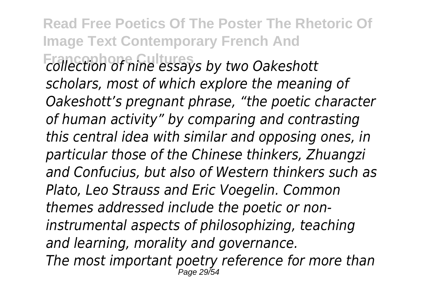**Read Free Poetics Of The Poster The Rhetoric Of Image Text Contemporary French And Francophone Cultures** *collection of nine essays by two Oakeshott scholars, most of which explore the meaning of Oakeshott's pregnant phrase, "the poetic character of human activity" by comparing and contrasting this central idea with similar and opposing ones, in particular those of the Chinese thinkers, Zhuangzi and Confucius, but also of Western thinkers such as Plato, Leo Strauss and Eric Voegelin. Common themes addressed include the poetic or noninstrumental aspects of philosophizing, teaching and learning, morality and governance. The most important poetry reference for more than* Page 29/54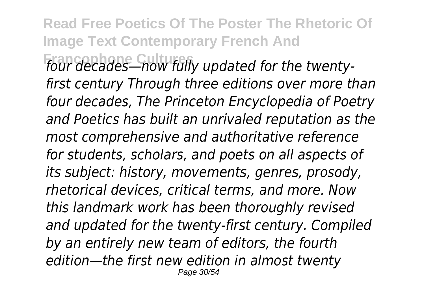**Read Free Poetics Of The Poster The Rhetoric Of Image Text Contemporary French And Francophone Cultures** *four decades—now fully updated for the twenty-*

*first century Through three editions over more than four decades, The Princeton Encyclopedia of Poetry and Poetics has built an unrivaled reputation as the most comprehensive and authoritative reference for students, scholars, and poets on all aspects of its subject: history, movements, genres, prosody, rhetorical devices, critical terms, and more. Now this landmark work has been thoroughly revised and updated for the twenty-first century. Compiled by an entirely new team of editors, the fourth edition—the first new edition in almost twenty* Page 30/54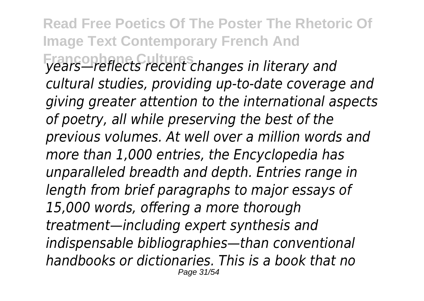**Read Free Poetics Of The Poster The Rhetoric Of Image Text Contemporary French And Francophone Cultures** *years—reflects recent changes in literary and cultural studies, providing up-to-date coverage and giving greater attention to the international aspects of poetry, all while preserving the best of the previous volumes. At well over a million words and more than 1,000 entries, the Encyclopedia has unparalleled breadth and depth. Entries range in length from brief paragraphs to major essays of 15,000 words, offering a more thorough treatment—including expert synthesis and indispensable bibliographies—than conventional handbooks or dictionaries. This is a book that no* Page 31/54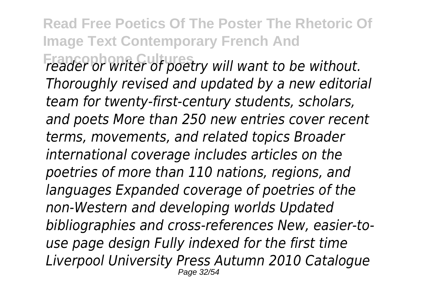**Francophone Cultures** *reader or writer of poetry will want to be without. Thoroughly revised and updated by a new editorial team for twenty-first-century students, scholars, and poets More than 250 new entries cover recent terms, movements, and related topics Broader international coverage includes articles on the poetries of more than 110 nations, regions, and languages Expanded coverage of poetries of the non-Western and developing worlds Updated bibliographies and cross-references New, easier-touse page design Fully indexed for the first time Liverpool University Press Autumn 2010 Catalogue* Page 32/54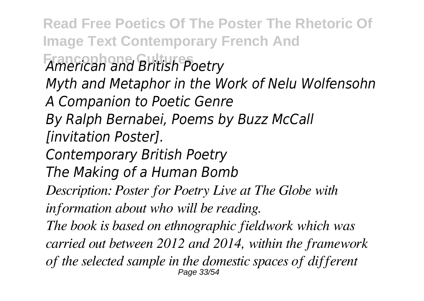**Read Free Poetics Of The Poster The Rhetoric Of Image Text Contemporary French And Francophone Cultures** *American and British Poetry Myth and Metaphor in the Work of Nelu Wolfensohn A Companion to Poetic Genre By Ralph Bernabei, Poems by Buzz McCall [invitation Poster]. Contemporary British Poetry The Making of a Human Bomb Description: Poster for Poetry Live at The Globe with information about who will be reading. The book is based on ethnographic fieldwork which was carried out between 2012 and 2014, within the framework of the selected sample in the domestic spaces of different* Page 33/54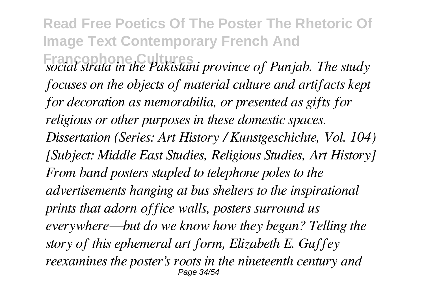**Read Free Poetics Of The Poster The Rhetoric Of Image Text Contemporary French And Francophone C**<br>*Social strata in the Pakistani province of Punjab. The study focuses on the objects of material culture and artifacts kept for decoration as memorabilia, or presented as gifts for religious or other purposes in these domestic spaces. Dissertation (Series: Art History / Kunstgeschichte, Vol. 104) [Subject: Middle East Studies, Religious Studies, Art History] From band posters stapled to telephone poles to the advertisements hanging at bus shelters to the inspirational prints that adorn office walls, posters surround us everywhere—but do we know how they began? Telling the story of this ephemeral art form, Elizabeth E. Guffey reexamines the poster's roots in the nineteenth century and* Page 34/54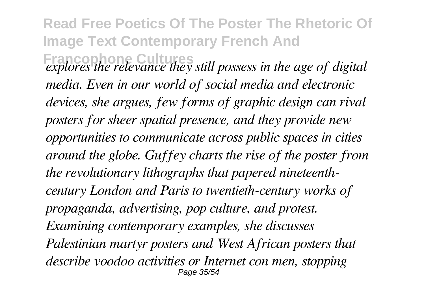**Read Free Poetics Of The Poster The Rhetoric Of Image Text Contemporary French And Francophone Cultures** *explores the relevance they still possess in the age of digital media. Even in our world of social media and electronic devices, she argues, few forms of graphic design can rival posters for sheer spatial presence, and they provide new opportunities to communicate across public spaces in cities around the globe. Guffey charts the rise of the poster from the revolutionary lithographs that papered nineteenthcentury London and Paris to twentieth-century works of propaganda, advertising, pop culture, and protest. Examining contemporary examples, she discusses Palestinian martyr posters and West African posters that describe voodoo activities or Internet con men, stopping* Page 35/54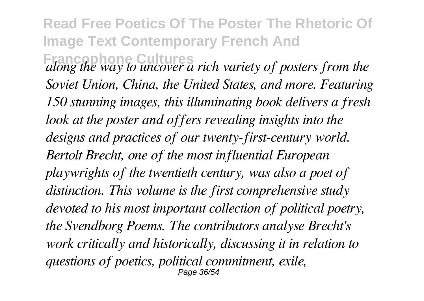**Francophone Cultures** *along the way to uncover a rich variety of posters from the Soviet Union, China, the United States, and more. Featuring 150 stunning images, this illuminating book delivers a fresh look at the poster and offers revealing insights into the designs and practices of our twenty-first-century world. Bertolt Brecht, one of the most influential European playwrights of the twentieth century, was also a poet of distinction. This volume is the first comprehensive study devoted to his most important collection of political poetry, the Svendborg Poems. The contributors analyse Brecht's work critically and historically, discussing it in relation to questions of poetics, political commitment, exile,* Page 36/54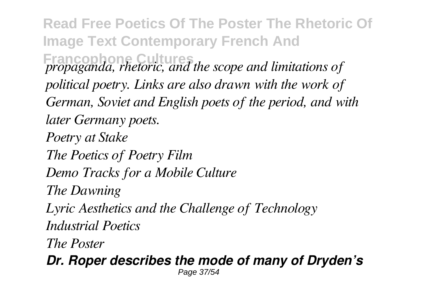**Read Free Poetics Of The Poster The Rhetoric Of Image Text Contemporary French And Francophone Cultures** *propaganda, rhetoric, and the scope and limitations of political poetry. Links are also drawn with the work of German, Soviet and English poets of the period, and with later Germany poets. Poetry at Stake The Poetics of Poetry Film Demo Tracks for a Mobile Culture The Dawning Lyric Aesthetics and the Challenge of Technology Industrial Poetics The Poster Dr. Roper describes the mode of many of Dryden's*

Page 37/54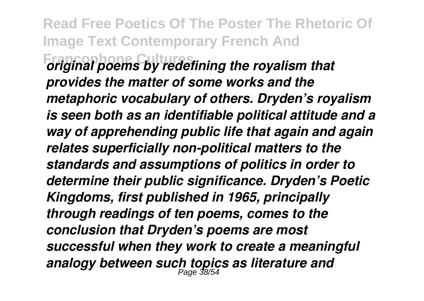**Read Free Poetics Of The Poster The Rhetoric Of Image Text Contemporary French And Francophone Cultures** *original poems by redefining the royalism that provides the matter of some works and the metaphoric vocabulary of others. Dryden's royalism is seen both as an identifiable political attitude and a way of apprehending public life that again and again relates superficially non-political matters to the standards and assumptions of politics in order to determine their public significance. Dryden's Poetic Kingdoms, first published in 1965, principally through readings of ten poems, comes to the conclusion that Dryden's poems are most successful when they work to create a meaningful analogy between such topics as literature and* Page 38/54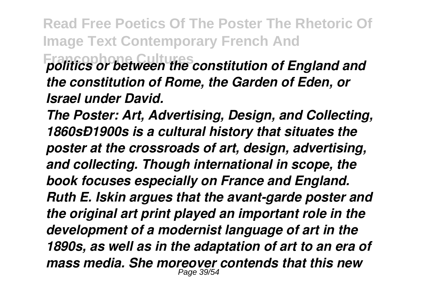#### **Francophone Cultures** *politics or between the constitution of England and the constitution of Rome, the Garden of Eden, or Israel under David.*

*The Poster: Art, Advertising, Design, and Collecting, 1860sÐ1900s is a cultural history that situates the poster at the crossroads of art, design, advertising, and collecting. Though international in scope, the book focuses especially on France and England. Ruth E. Iskin argues that the avant-garde poster and the original art print played an important role in the development of a modernist language of art in the 1890s, as well as in the adaptation of art to an era of mass media. She moreover contends that this new* Page 39/54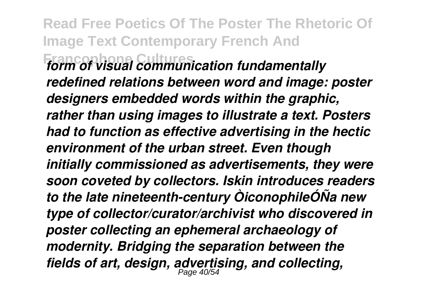**Read Free Poetics Of The Poster The Rhetoric Of Image Text Contemporary French And Francophone Cultures** *form of visual communication fundamentally redefined relations between word and image: poster designers embedded words within the graphic, rather than using images to illustrate a text. Posters had to function as effective advertising in the hectic environment of the urban street. Even though initially commissioned as advertisements, they were soon coveted by collectors. Iskin introduces readers to the late nineteenth-century ÒiconophileÓÑa new type of collector/curator/archivist who discovered in poster collecting an ephemeral archaeology of modernity. Bridging the separation between the fields of art, design, advertising, and collecting,* Page 40/54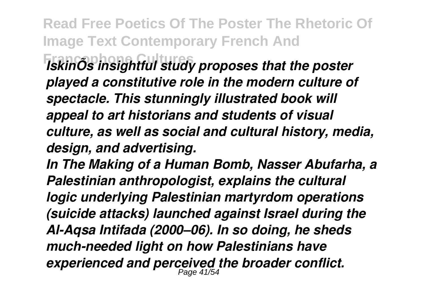**Francophone Cultures** *IskinÕs insightful study proposes that the poster played a constitutive role in the modern culture of spectacle. This stunningly illustrated book will appeal to art historians and students of visual culture, as well as social and cultural history, media, design, and advertising.*

*In The Making of a Human Bomb, Nasser Abufarha, a Palestinian anthropologist, explains the cultural logic underlying Palestinian martyrdom operations (suicide attacks) launched against Israel during the Al-Aqsa Intifada (2000–06). In so doing, he sheds much-needed light on how Palestinians have experienced and perceived the broader conflict.* Page 41/54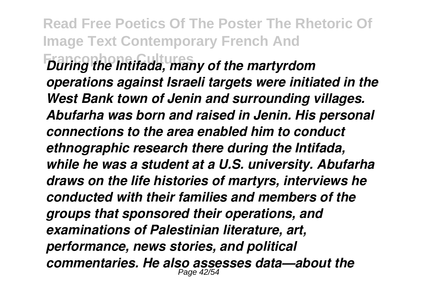**Read Free Poetics Of The Poster The Rhetoric Of Image Text Contemporary French And Francophone Cultures** *During the Intifada, many of the martyrdom operations against Israeli targets were initiated in the West Bank town of Jenin and surrounding villages. Abufarha was born and raised in Jenin. His personal connections to the area enabled him to conduct ethnographic research there during the Intifada, while he was a student at a U.S. university. Abufarha draws on the life histories of martyrs, interviews he conducted with their families and members of the groups that sponsored their operations, and examinations of Palestinian literature, art, performance, news stories, and political commentaries. He also assesses data—about the* Page 42/54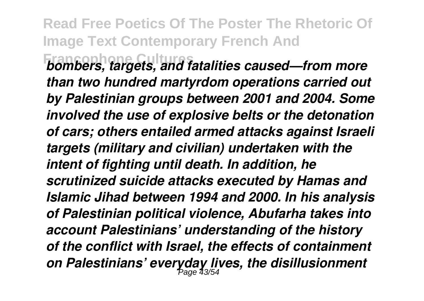**Francophone Cultures** *bombers, targets, and fatalities caused—from more than two hundred martyrdom operations carried out by Palestinian groups between 2001 and 2004. Some involved the use of explosive belts or the detonation of cars; others entailed armed attacks against Israeli targets (military and civilian) undertaken with the intent of fighting until death. In addition, he scrutinized suicide attacks executed by Hamas and Islamic Jihad between 1994 and 2000. In his analysis of Palestinian political violence, Abufarha takes into account Palestinians' understanding of the history of the conflict with Israel, the effects of containment on Palestinians' everyday lives, the disillusionment* Page 43/54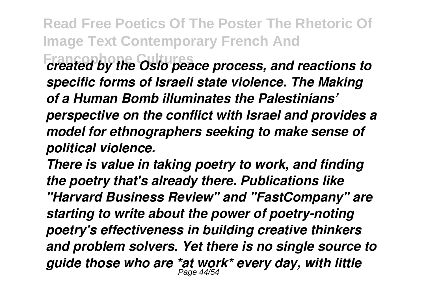**Francophone Cultures** *created by the Oslo peace process, and reactions to specific forms of Israeli state violence. The Making of a Human Bomb illuminates the Palestinians' perspective on the conflict with Israel and provides a model for ethnographers seeking to make sense of political violence.*

*There is value in taking poetry to work, and finding the poetry that's already there. Publications like "Harvard Business Review" and "FastCompany" are starting to write about the power of poetry-noting poetry's effectiveness in building creative thinkers and problem solvers. Yet there is no single source to guide those who are \*at work\* every day, with little* Page 44/54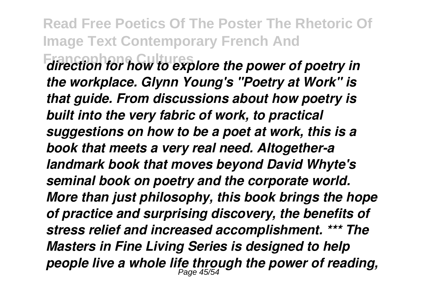**Francophone Cultures** *direction for how to explore the power of poetry in the workplace. Glynn Young's "Poetry at Work" is that guide. From discussions about how poetry is built into the very fabric of work, to practical suggestions on how to be a poet at work, this is a book that meets a very real need. Altogether-a landmark book that moves beyond David Whyte's seminal book on poetry and the corporate world. More than just philosophy, this book brings the hope of practice and surprising discovery, the benefits of stress relief and increased accomplishment. \*\*\* The Masters in Fine Living Series is designed to help people live a whole life through the power of reading,* Page 45/54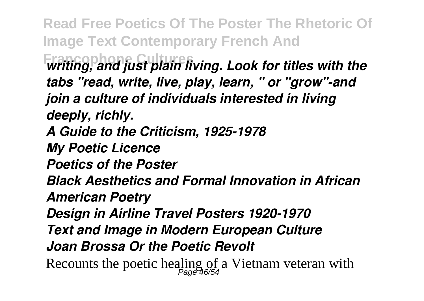**Read Free Poetics Of The Poster The Rhetoric Of Image Text Contemporary French And Francophone Cultures** *writing, and just plain living. Look for titles with the tabs "read, write, live, play, learn, " or "grow"-and join a culture of individuals interested in living deeply, richly. A Guide to the Criticism, 1925-1978 My Poetic Licence Poetics of the Poster Black Aesthetics and Formal Innovation in African American Poetry Design in Airline Travel Posters 1920-1970 Text and Image in Modern European Culture Joan Brossa Or the Poetic Revolt* Recounts the poetic healing of a Vietnam veteran with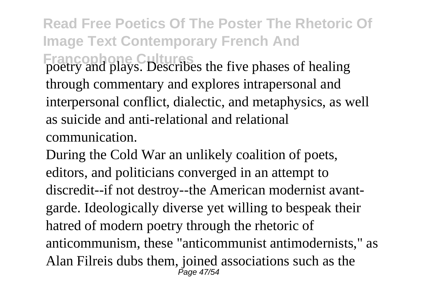**Read Free Poetics Of The Poster The Rhetoric Of Image Text Contemporary French And Francophone Cultures** poetry and plays. Describes the five phases of healing through commentary and explores intrapersonal and interpersonal conflict, dialectic, and metaphysics, as well as suicide and anti-relational and relational communication.

During the Cold War an unlikely coalition of poets, editors, and politicians converged in an attempt to discredit--if not destroy--the American modernist avantgarde. Ideologically diverse yet willing to bespeak their hatred of modern poetry through the rhetoric of anticommunism, these "anticommunist antimodernists," as Alan Filreis dubs them, joined associations such as the Page 47/54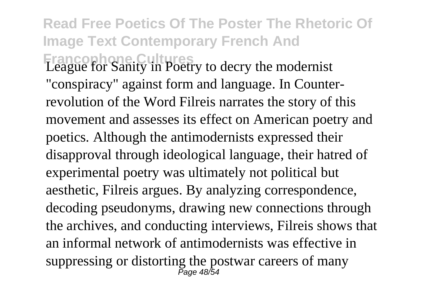### **Read Free Poetics Of The Poster The Rhetoric Of Image Text Contemporary French And Francophone: Cultures** League for Sanity in Poetry to decry the modernist

"conspiracy" against form and language. In Counterrevolution of the Word Filreis narrates the story of this movement and assesses its effect on American poetry and poetics. Although the antimodernists expressed their disapproval through ideological language, their hatred of experimental poetry was ultimately not political but aesthetic, Filreis argues. By analyzing correspondence, decoding pseudonyms, drawing new connections through the archives, and conducting interviews, Filreis shows that an informal network of antimodernists was effective in suppressing or distorting the postwar careers of many Page 48/54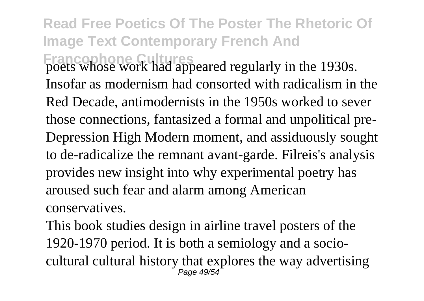**Francophone Cultures** poets whose work had appeared regularly in the 1930s. Insofar as modernism had consorted with radicalism in the Red Decade, antimodernists in the 1950s worked to sever those connections, fantasized a formal and unpolitical pre-Depression High Modern moment, and assiduously sought to de-radicalize the remnant avant-garde. Filreis's analysis provides new insight into why experimental poetry has aroused such fear and alarm among American conservatives.

This book studies design in airline travel posters of the 1920-1970 period. It is both a semiology and a sociocultural cultural history that explores the way advertising Page 49/54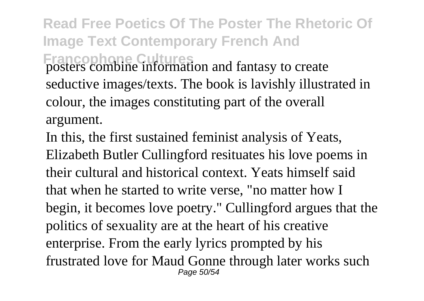**Read Free Poetics Of The Poster The Rhetoric Of Image Text Contemporary French And Francophone Cultures** posters combine information and fantasy to create seductive images/texts. The book is lavishly illustrated in colour, the images constituting part of the overall argument.

In this, the first sustained feminist analysis of Yeats, Elizabeth Butler Cullingford resituates his love poems in their cultural and historical context. Yeats himself said that when he started to write verse, "no matter how I begin, it becomes love poetry." Cullingford argues that the politics of sexuality are at the heart of his creative enterprise. From the early lyrics prompted by his frustrated love for Maud Gonne through later works such Page 50/54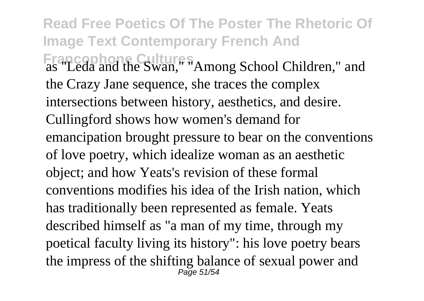**Read Free Poetics Of The Poster The Rhetoric Of Image Text Contemporary French And Francophone Cultures** as "Leda and the Swan," "Among School Children," and the Crazy Jane sequence, she traces the complex intersections between history, aesthetics, and desire. Cullingford shows how women's demand for emancipation brought pressure to bear on the conventions of love poetry, which idealize woman as an aesthetic object; and how Yeats's revision of these formal conventions modifies his idea of the Irish nation, which has traditionally been represented as female. Yeats described himself as "a man of my time, through my poetical faculty living its history": his love poetry bears the impress of the shifting balance of sexual power and Page 51/54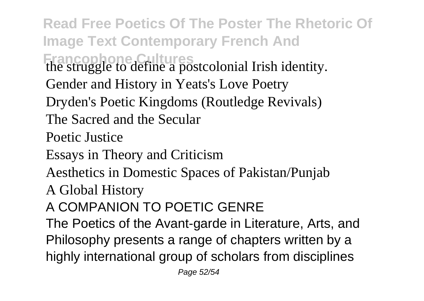**Read Free Poetics Of The Poster The Rhetoric Of Image Text Contemporary French And Francophone Cultures** the struggle to define a postcolonial Irish identity. Gender and History in Yeats's Love Poetry Dryden's Poetic Kingdoms (Routledge Revivals) The Sacred and the Secular Poetic Justice Essays in Theory and Criticism Aesthetics in Domestic Spaces of Pakistan/Punjab A Global History A COMPANION TO POETIC GENRE The Poetics of the Avant-garde in Literature, Arts, and Philosophy presents a range of chapters written by a highly international group of scholars from disciplines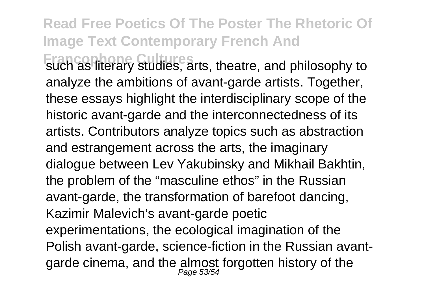**Francophone Cultures** such as literary studies, arts, theatre, and philosophy to analyze the ambitions of avant-garde artists. Together, these essays highlight the interdisciplinary scope of the historic avant-garde and the interconnectedness of its artists. Contributors analyze topics such as abstraction and estrangement across the arts, the imaginary dialogue between Lev Yakubinsky and Mikhail Bakhtin, the problem of the "masculine ethos" in the Russian avant-garde, the transformation of barefoot dancing, Kazimir Malevich's avant-garde poetic experimentations, the ecological imagination of the Polish avant-garde, science-fiction in the Russian avantgarde cinema, and the almost forgotten history of the